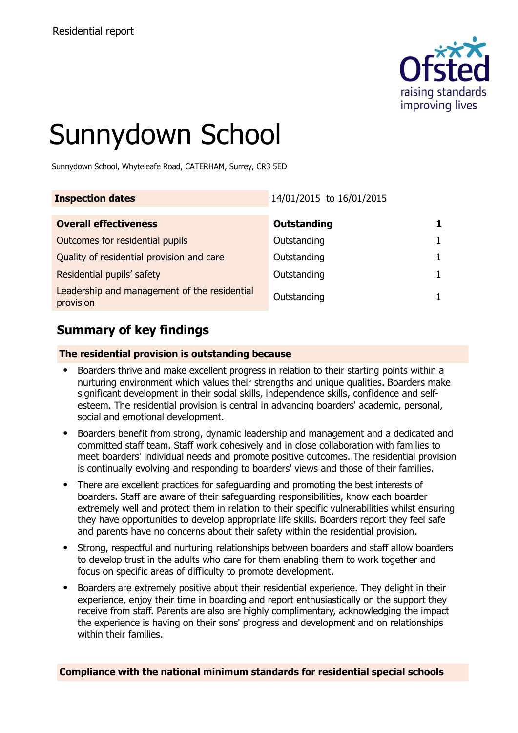

# Sunnydown School

Sunnydown School, Whyteleafe Road, CATERHAM, Surrey, CR3 5ED

| <b>Inspection dates</b>                                   | 14/01/2015 to 16/01/2015 |  |
|-----------------------------------------------------------|--------------------------|--|
| <b>Overall effectiveness</b>                              | <b>Outstanding</b>       |  |
| Outcomes for residential pupils                           | Outstanding              |  |
| Quality of residential provision and care                 | Outstanding              |  |
| Residential pupils' safety                                | Outstanding              |  |
| Leadership and management of the residential<br>provision | Outstanding              |  |

# **Summary of key findings**

### **The residential provision is outstanding because**

- Boarders thrive and make excellent progress in relation to their starting points within a nurturing environment which values their strengths and unique qualities. Boarders make significant development in their social skills, independence skills, confidence and selfesteem. The residential provision is central in advancing boarders' academic, personal, social and emotional development.
- Boarders benefit from strong, dynamic leadership and management and a dedicated and committed staff team. Staff work cohesively and in close collaboration with families to meet boarders' individual needs and promote positive outcomes. The residential provision is continually evolving and responding to boarders' views and those of their families.
- There are excellent practices for safeguarding and promoting the best interests of boarders. Staff are aware of their safeguarding responsibilities, know each boarder extremely well and protect them in relation to their specific vulnerabilities whilst ensuring they have opportunities to develop appropriate life skills. Boarders report they feel safe and parents have no concerns about their safety within the residential provision.
- Strong, respectful and nurturing relationships between boarders and staff allow boarders to develop trust in the adults who care for them enabling them to work together and focus on specific areas of difficulty to promote development.
- Boarders are extremely positive about their residential experience. They delight in their experience, enjoy their time in boarding and report enthusiastically on the support they receive from staff. Parents are also are highly complimentary, acknowledging the impact the experience is having on their sons' progress and development and on relationships within their families.

**Compliance with the national minimum standards for residential special schools**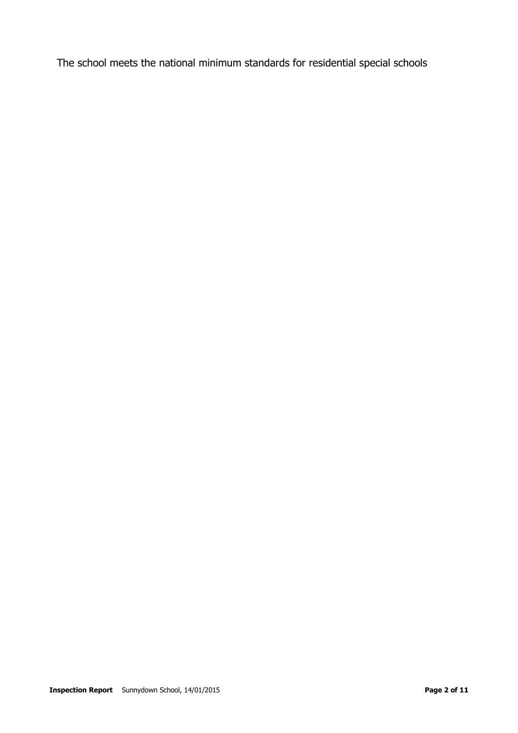The school meets the national minimum standards for residential special schools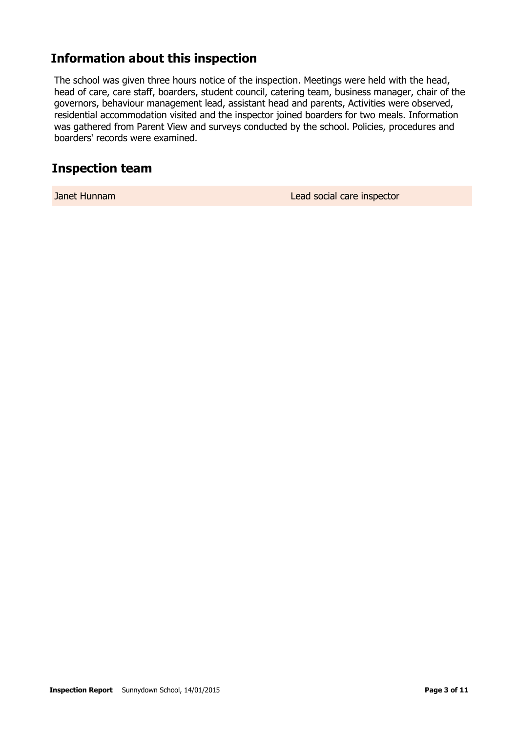# **Information about this inspection**

The school was given three hours notice of the inspection. Meetings were held with the head, head of care, care staff, boarders, student council, catering team, business manager, chair of the governors, behaviour management lead, assistant head and parents, Activities were observed, residential accommodation visited and the inspector joined boarders for two meals. Information was gathered from Parent View and surveys conducted by the school. Policies, procedures and boarders' records were examined.

## **Inspection team**

Janet Hunnam Lead social care inspector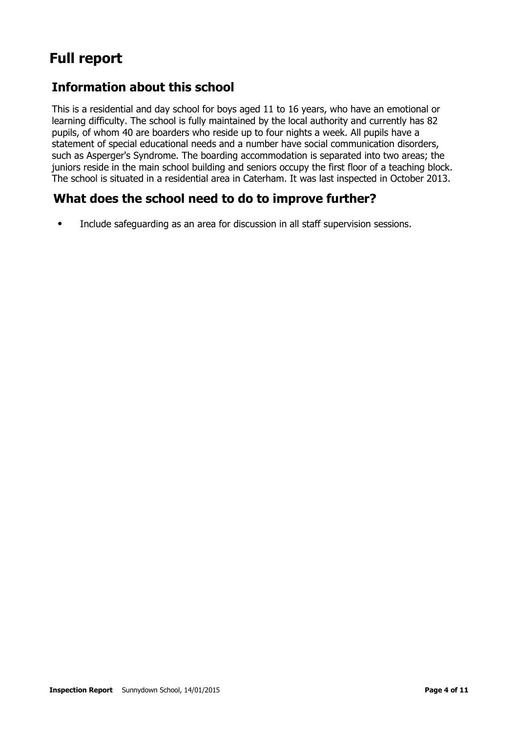# **Full report**

# **Information about this school**

This is a residential and day school for boys aged 11 to 16 years, who have an emotional or learning difficulty. The school is fully maintained by the local authority and currently has 82 pupils, of whom 40 are boarders who reside up to four nights a week. All pupils have a statement of special educational needs and a number have social communication disorders, such as Asperger's Syndrome. The boarding accommodation is separated into two areas; the juniors reside in the main school building and seniors occupy the first floor of a teaching block. The school is situated in a residential area in Caterham. It was last inspected in October 2013.

# **What does the school need to do to improve further?**

● Include safeguarding as an area for discussion in all staff supervision sessions.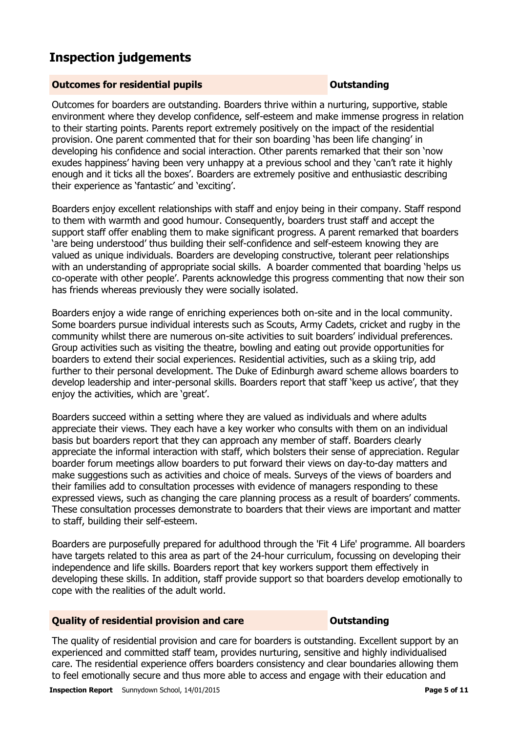# **Inspection judgements**

#### **Outcomes for residential pupils Outstanding**

Outcomes for boarders are outstanding. Boarders thrive within a nurturing, supportive, stable environment where they develop confidence, self-esteem and make immense progress in relation to their starting points. Parents report extremely positively on the impact of the residential provision. One parent commented that for their son boarding 'has been life changing' in developing his confidence and social interaction. Other parents remarked that their son 'now exudes happiness' having been very unhappy at a previous school and they 'can't rate it highly enough and it ticks all the boxes'. Boarders are extremely positive and enthusiastic describing their experience as 'fantastic' and 'exciting'.

Boarders enjoy excellent relationships with staff and enjoy being in their company. Staff respond to them with warmth and good humour. Consequently, boarders trust staff and accept the support staff offer enabling them to make significant progress. A parent remarked that boarders 'are being understood' thus building their self-confidence and self-esteem knowing they are valued as unique individuals. Boarders are developing constructive, tolerant peer relationships with an understanding of appropriate social skills. A boarder commented that boarding 'helps us co-operate with other people'. Parents acknowledge this progress commenting that now their son has friends whereas previously they were socially isolated.

Boarders enjoy a wide range of enriching experiences both on-site and in the local community. Some boarders pursue individual interests such as Scouts, Army Cadets, cricket and rugby in the community whilst there are numerous on-site activities to suit boarders' individual preferences. Group activities such as visiting the theatre, bowling and eating out provide opportunities for boarders to extend their social experiences. Residential activities, such as a skiing trip, add further to their personal development. The Duke of Edinburgh award scheme allows boarders to develop leadership and inter-personal skills. Boarders report that staff 'keep us active', that they enjoy the activities, which are 'great'.

Boarders succeed within a setting where they are valued as individuals and where adults appreciate their views. They each have a key worker who consults with them on an individual basis but boarders report that they can approach any member of staff. Boarders clearly appreciate the informal interaction with staff, which bolsters their sense of appreciation. Regular boarder forum meetings allow boarders to put forward their views on day-to-day matters and make suggestions such as activities and choice of meals. Surveys of the views of boarders and their families add to consultation processes with evidence of managers responding to these expressed views, such as changing the care planning process as a result of boarders' comments. These consultation processes demonstrate to boarders that their views are important and matter to staff, building their self-esteem.

Boarders are purposefully prepared for adulthood through the 'Fit 4 Life' programme. All boarders have targets related to this area as part of the 24-hour curriculum, focussing on developing their independence and life skills. Boarders report that key workers support them effectively in developing these skills. In addition, staff provide support so that boarders develop emotionally to cope with the realities of the adult world.

#### **Quality of residential provision and care Outstanding**

The quality of residential provision and care for boarders is outstanding. Excellent support by an experienced and committed staff team, provides nurturing, sensitive and highly individualised care. The residential experience offers boarders consistency and clear boundaries allowing them to feel emotionally secure and thus more able to access and engage with their education and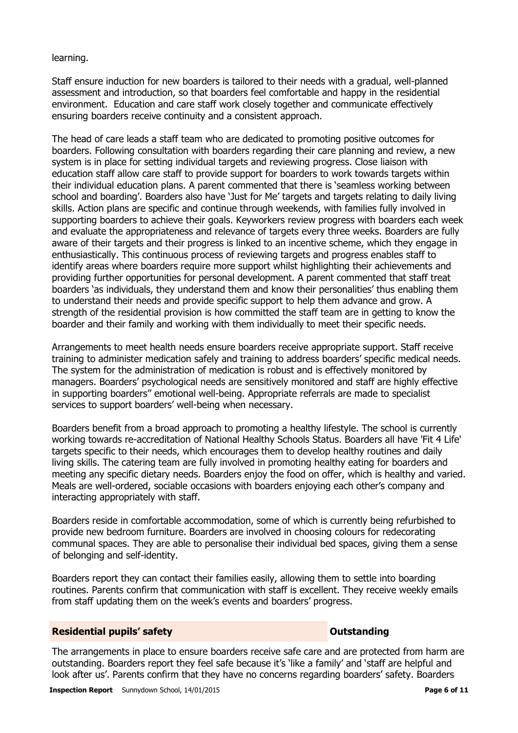#### learning.

Staff ensure induction for new boarders is tailored to their needs with a gradual, well-planned assessment and introduction, so that boarders feel comfortable and happy in the residential environment. Education and care staff work closely together and communicate effectively ensuring boarders receive continuity and a consistent approach.

The head of care leads a staff team who are dedicated to promoting positive outcomes for boarders. Following consultation with boarders regarding their care planning and review, a new system is in place for setting individual targets and reviewing progress. Close liaison with education staff allow care staff to provide support for boarders to work towards targets within their individual education plans. A parent commented that there is 'seamless working between school and boarding'. Boarders also have 'Just for Me' targets and targets relating to daily living skills. Action plans are specific and continue through weekends, with families fully involved in supporting boarders to achieve their goals. Keyworkers review progress with boarders each week and evaluate the appropriateness and relevance of targets every three weeks. Boarders are fully aware of their targets and their progress is linked to an incentive scheme, which they engage in enthusiastically. This continuous process of reviewing targets and progress enables staff to identify areas where boarders require more support whilst highlighting their achievements and providing further opportunities for personal development. A parent commented that staff treat boarders 'as individuals, they understand them and know their personalities' thus enabling them to understand their needs and provide specific support to help them advance and grow. A strength of the residential provision is how committed the staff team are in getting to know the boarder and their family and working with them individually to meet their specific needs.

Arrangements to meet health needs ensure boarders receive appropriate support. Staff receive training to administer medication safely and training to address boarders' specific medical needs. The system for the administration of medication is robust and is effectively monitored by managers. Boarders' psychological needs are sensitively monitored and staff are highly effective in supporting boarders'' emotional well-being. Appropriate referrals are made to specialist services to support boarders' well-being when necessary.

Boarders benefit from a broad approach to promoting a healthy lifestyle. The school is currently working towards re-accreditation of National Healthy Schools Status. Boarders all have 'Fit 4 Life' targets specific to their needs, which encourages them to develop healthy routines and daily living skills. The catering team are fully involved in promoting healthy eating for boarders and meeting any specific dietary needs. Boarders enjoy the food on offer, which is healthy and varied. Meals are well-ordered, sociable occasions with boarders enjoying each other's company and interacting appropriately with staff.

Boarders reside in comfortable accommodation, some of which is currently being refurbished to provide new bedroom furniture. Boarders are involved in choosing colours for redecorating communal spaces. They are able to personalise their individual bed spaces, giving them a sense of belonging and self-identity.

Boarders report they can contact their families easily, allowing them to settle into boarding routines. Parents confirm that communication with staff is excellent. They receive weekly emails from staff updating them on the week's events and boarders' progress.

#### **Residential pupils' safety CONSTANDING CONSTANDING CONSTANDING CONSTANDING CONSTANDING CONSTANDING CONSTANDING CONSTANDING CONSTANDING CONSTANDING CONSTANDING CONSTANDING CONSTANDING CONSTANDING CONSTANDING CONSTANDING**

The arrangements in place to ensure boarders receive safe care and are protected from harm are outstanding. Boarders report they feel safe because it's 'like a family' and 'staff are helpful and look after us'. Parents confirm that they have no concerns regarding boarders' safety. Boarders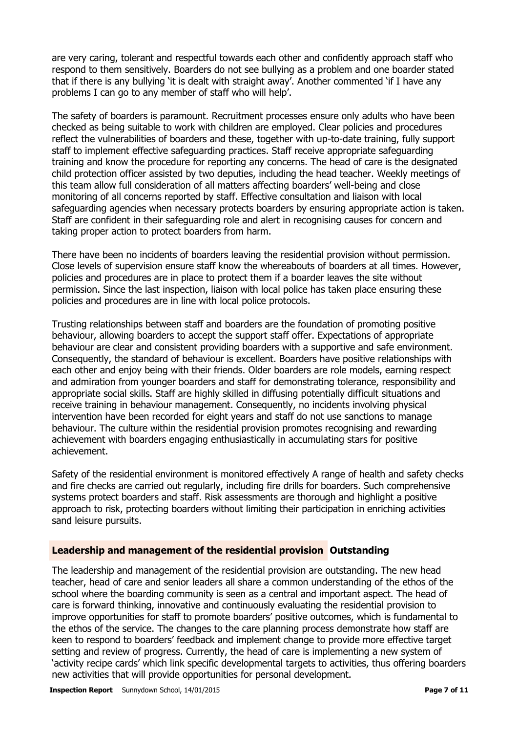are very caring, tolerant and respectful towards each other and confidently approach staff who respond to them sensitively. Boarders do not see bullying as a problem and one boarder stated that if there is any bullying 'it is dealt with straight away'. Another commented 'if I have any problems I can go to any member of staff who will help'.

The safety of boarders is paramount. Recruitment processes ensure only adults who have been checked as being suitable to work with children are employed. Clear policies and procedures reflect the vulnerabilities of boarders and these, together with up-to-date training, fully support staff to implement effective safeguarding practices. Staff receive appropriate safeguarding training and know the procedure for reporting any concerns. The head of care is the designated child protection officer assisted by two deputies, including the head teacher. Weekly meetings of this team allow full consideration of all matters affecting boarders' well-being and close monitoring of all concerns reported by staff. Effective consultation and liaison with local safeguarding agencies when necessary protects boarders by ensuring appropriate action is taken. Staff are confident in their safeguarding role and alert in recognising causes for concern and taking proper action to protect boarders from harm.

There have been no incidents of boarders leaving the residential provision without permission. Close levels of supervision ensure staff know the whereabouts of boarders at all times. However, policies and procedures are in place to protect them if a boarder leaves the site without permission. Since the last inspection, liaison with local police has taken place ensuring these policies and procedures are in line with local police protocols.

Trusting relationships between staff and boarders are the foundation of promoting positive behaviour, allowing boarders to accept the support staff offer. Expectations of appropriate behaviour are clear and consistent providing boarders with a supportive and safe environment. Consequently, the standard of behaviour is excellent. Boarders have positive relationships with each other and enjoy being with their friends. Older boarders are role models, earning respect and admiration from younger boarders and staff for demonstrating tolerance, responsibility and appropriate social skills. Staff are highly skilled in diffusing potentially difficult situations and receive training in behaviour management. Consequently, no incidents involving physical intervention have been recorded for eight years and staff do not use sanctions to manage behaviour. The culture within the residential provision promotes recognising and rewarding achievement with boarders engaging enthusiastically in accumulating stars for positive achievement.

Safety of the residential environment is monitored effectively A range of health and safety checks and fire checks are carried out regularly, including fire drills for boarders. Such comprehensive systems protect boarders and staff. Risk assessments are thorough and highlight a positive approach to risk, protecting boarders without limiting their participation in enriching activities sand leisure pursuits.

#### **Leadership and management of the residential provision Outstanding**

The leadership and management of the residential provision are outstanding. The new head teacher, head of care and senior leaders all share a common understanding of the ethos of the school where the boarding community is seen as a central and important aspect. The head of care is forward thinking, innovative and continuously evaluating the residential provision to improve opportunities for staff to promote boarders' positive outcomes, which is fundamental to the ethos of the service. The changes to the care planning process demonstrate how staff are keen to respond to boarders' feedback and implement change to provide more effective target setting and review of progress. Currently, the head of care is implementing a new system of 'activity recipe cards' which link specific developmental targets to activities, thus offering boarders new activities that will provide opportunities for personal development.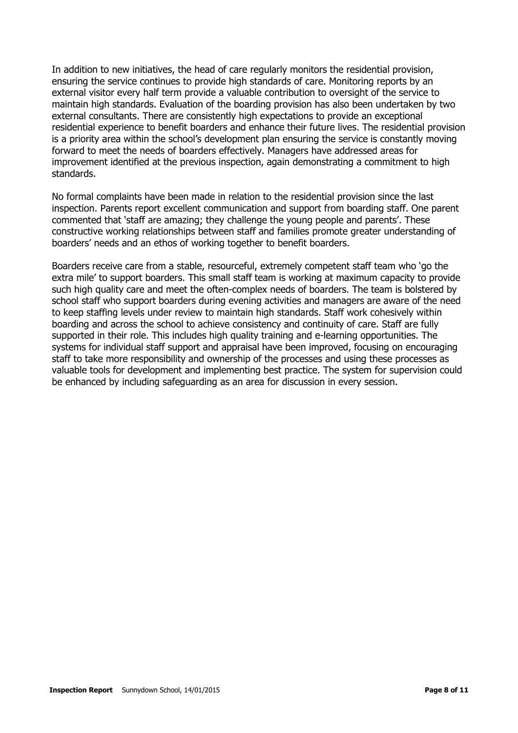In addition to new initiatives, the head of care regularly monitors the residential provision, ensuring the service continues to provide high standards of care. Monitoring reports by an external visitor every half term provide a valuable contribution to oversight of the service to maintain high standards. Evaluation of the boarding provision has also been undertaken by two external consultants. There are consistently high expectations to provide an exceptional residential experience to benefit boarders and enhance their future lives. The residential provision is a priority area within the school's development plan ensuring the service is constantly moving forward to meet the needs of boarders effectively. Managers have addressed areas for improvement identified at the previous inspection, again demonstrating a commitment to high standards.

No formal complaints have been made in relation to the residential provision since the last inspection. Parents report excellent communication and support from boarding staff. One parent commented that 'staff are amazing; they challenge the young people and parents'. These constructive working relationships between staff and families promote greater understanding of boarders' needs and an ethos of working together to benefit boarders.

Boarders receive care from a stable, resourceful, extremely competent staff team who 'go the extra mile' to support boarders. This small staff team is working at maximum capacity to provide such high quality care and meet the often-complex needs of boarders. The team is bolstered by school staff who support boarders during evening activities and managers are aware of the need to keep staffing levels under review to maintain high standards. Staff work cohesively within boarding and across the school to achieve consistency and continuity of care. Staff are fully supported in their role. This includes high quality training and e-learning opportunities. The systems for individual staff support and appraisal have been improved, focusing on encouraging staff to take more responsibility and ownership of the processes and using these processes as valuable tools for development and implementing best practice. The system for supervision could be enhanced by including safeguarding as an area for discussion in every session.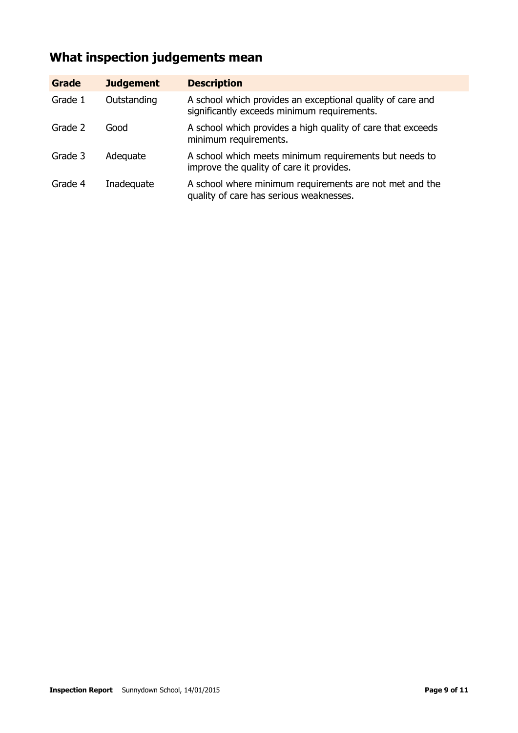# **What inspection judgements mean**

| <b>Grade</b> | <b>Judgement</b> | <b>Description</b>                                                                                        |
|--------------|------------------|-----------------------------------------------------------------------------------------------------------|
| Grade 1      | Outstanding      | A school which provides an exceptional quality of care and<br>significantly exceeds minimum requirements. |
| Grade 2      | Good             | A school which provides a high quality of care that exceeds<br>minimum requirements.                      |
| Grade 3      | Adequate         | A school which meets minimum requirements but needs to<br>improve the quality of care it provides.        |
| Grade 4      | Inadequate       | A school where minimum requirements are not met and the<br>quality of care has serious weaknesses.        |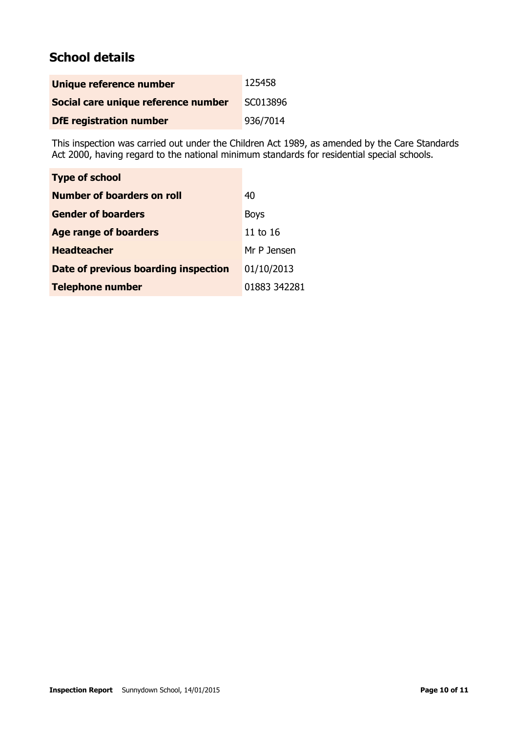# **School details**

| Unique reference number             | 125458   |
|-------------------------------------|----------|
| Social care unique reference number | SC013896 |
| <b>DfE registration number</b>      | 936/7014 |

This inspection was carried out under the Children Act 1989, as amended by the Care Standards Act 2000, having regard to the national minimum standards for residential special schools.

| <b>Type of school</b>                |              |
|--------------------------------------|--------------|
| Number of boarders on roll           | 40           |
| <b>Gender of boarders</b>            | <b>Boys</b>  |
| <b>Age range of boarders</b>         | 11 to 16     |
| <b>Headteacher</b>                   | Mr P Jensen  |
| Date of previous boarding inspection | 01/10/2013   |
| <b>Telephone number</b>              | 01883 342281 |